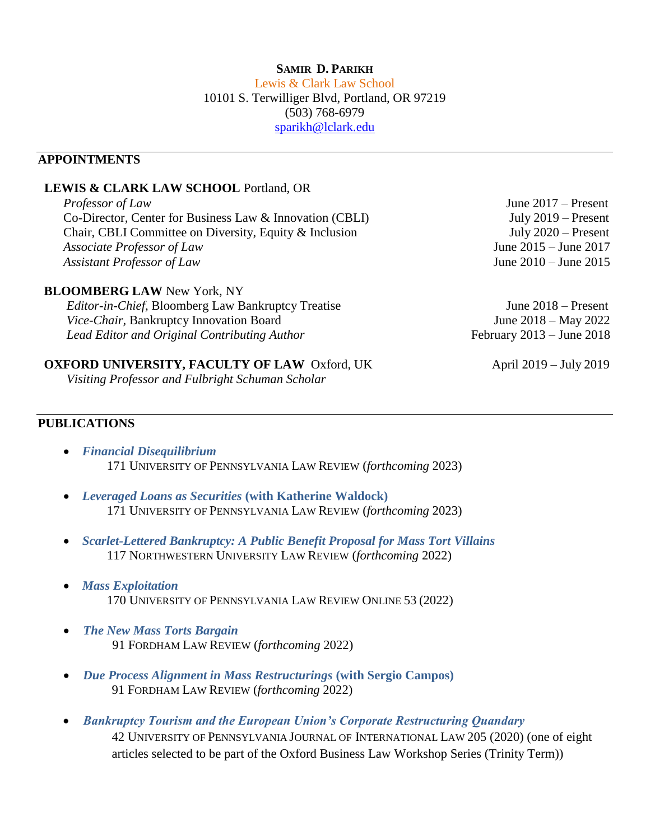# **SAMIR D. PARIKH**

Lewis & Clark Law School 10101 S. Terwilliger Blvd, Portland, OR 97219 (503) 768-6979 [sparikh@lclark.edu](mailto:sparikh@lclark.edu) 

# **APPOINTMENTS**

#### **LEWIS & CLARK LAW SCHOOL** Portland, OR

*Professor of Law* June 2017 – Present Co-Director*,* Center for Business Law & Innovation (CBLI) July 2019 – Present Chair, CBLI Committee on Diversity, Equity & Inclusion July 2020 – Present *Associate Professor of Law* June 2015 – June 2017 *Assistant Professor of Law* June 2010 – June 2015

#### **BLOOMBERG LAW** New York, NY

*Editor-in-Chief,* Bloomberg Law Bankruptcy Treatise June 2018 – Present *Vice-Chair*, Bankruptcy Innovation Board June 2018 – May 2022 *Lead Editor and Original Contributing Author* February 2013 – June 2018

# **OXFORD UNIVERSITY, FACULTY OF LAW** Oxford, UK April 2019 – July 2019

*Visiting Professor and Fulbright Schuman Scholar*

# **PUBLICATIONS**

- *Financial Disequilibrium*  171 UNIVERSITY OF PENNSYLVANIA LAW REVIEW (*forthcoming* 2023)
- *Leveraged Loans as Securities* **(with Katherine Waldock)** 171 UNIVERSITY OF PENNSYLVANIA LAW REVIEW (*forthcoming* 2023)
- *Scarlet-Lettered Bankruptcy: A Public Benefit Proposal for Mass Tort Villains* 117 NORTHWESTERN UNIVERSITY LAW REVIEW (*forthcoming* 2022)
- *Mass Exploitation* 170 UNIVERSITY OF PENNSYLVANIA LAW REVIEW ONLINE 53 (2022)
- *The New Mass Torts Bargain* 91 FORDHAM LAW REVIEW (*forthcoming* 2022)
- *Due Process Alignment in Mass Restructurings* **(with Sergio Campos)** 91 FORDHAM LAW REVIEW (*forthcoming* 2022)
- *Bankruptcy Tourism and the European Union's Corporate Restructuring Quandary* 42 UNIVERSITY OF PENNSYLVANIA JOURNAL OF INTERNATIONAL LAW 205 (2020) (one of eight articles selected to be part of the Oxford Business Law Workshop Series (Trinity Term))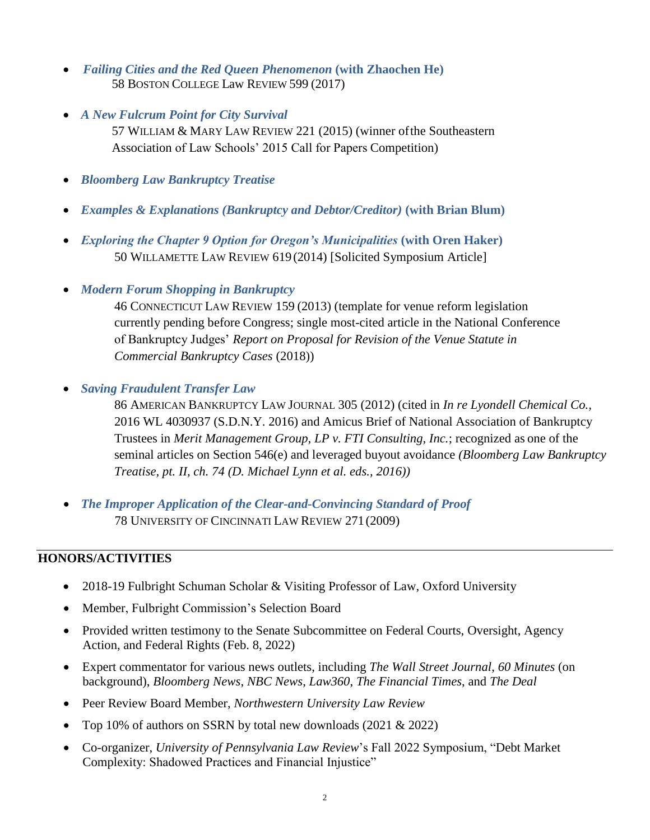- *Failing Cities and the Red Queen Phenomenon* **(with Zhaochen He)** 58 BOSTON COLLEGE Law REVIEW 599 (2017)
- *A New Fulcrum Point for City Survival*

57 WILLIAM & MARY LAW REVIEW 221 (2015) (winner ofthe Southeastern Association of Law Schools' 2015 Call for Papers Competition)

- *Bloomberg Law Bankruptcy Treatise*
- *Examples & Explanations (Bankruptcy and Debtor/Creditor)* **(with Brian Blum)**
- *Exploring the Chapter 9 Option for Oregon's Municipalities* **(with Oren Haker)** 50 WILLAMETTE LAW REVIEW 619(2014) [Solicited Symposium Article]
- *Modern Forum Shopping in Bankruptcy*

46 CONNECTICUT LAW REVIEW 159 (2013) (template for venue reform legislation currently pending before Congress; single most-cited article in the National Conference of Bankruptcy Judges' *Report on Proposal for Revision of the Venue Statute in Commercial Bankruptcy Cases* (2018))

• *Saving Fraudulent Transfer Law*

86 AMERICAN BANKRUPTCY LAW JOURNAL 305 (2012) (cited in *In re Lyondell Chemical Co.,*  2016 WL 4030937 (S.D.N.Y. 2016) and Amicus Brief of National Association of Bankruptcy Trustees in *Merit Management Group, LP v. FTI Consulting, Inc.*; recognized as one of the seminal articles on Section 546(e) and leveraged buyout avoidance *(Bloomberg Law Bankruptcy Treatise, pt. II, ch. 74 (D. Michael Lynn et al. eds., 2016))*

• *The Improper Application of the Clear-and-Convincing Standard of Proof* 78 UNIVERSITY OF CINCINNATI LAW REVIEW 271(2009)

### **HONORS/ACTIVITIES**

- 2018-19 Fulbright Schuman Scholar & Visiting Professor of Law, Oxford University
- Member, Fulbright Commission's Selection Board
- Provided written testimony to the Senate Subcommittee on Federal Courts, Oversight, Agency Action, and Federal Rights (Feb. 8, 2022)
- Expert commentator for various news outlets, including *The Wall Street Journal*, *60 Minutes* (on background), *Bloomberg News*, *NBC News*, *Law360*, *The Financial Times*, and *The Deal*
- Peer Review Board Member, *Northwestern University Law Review*
- Top 10% of authors on SSRN by total new downloads (2021 & 2022)
- Co-organizer, *University of Pennsylvania Law Review*'s Fall 2022 Symposium, "Debt Market Complexity: Shadowed Practices and Financial Injustice"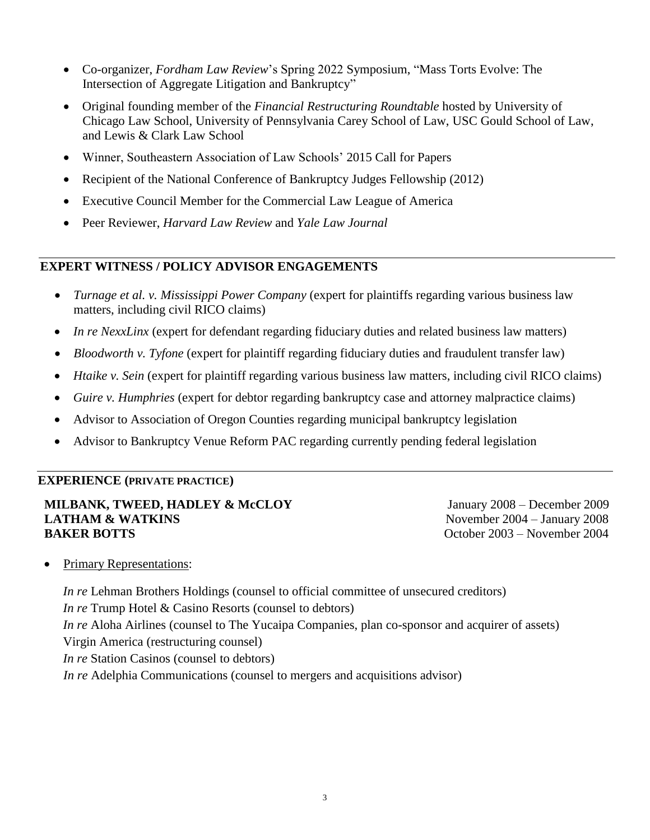- Co-organizer, *Fordham Law Review*'s Spring 2022 Symposium, "Mass Torts Evolve: The Intersection of Aggregate Litigation and Bankruptcy"
- Original founding member of the *Financial Restructuring Roundtable* hosted by University of Chicago Law School, University of Pennsylvania Carey School of Law, USC Gould School of Law, and Lewis & Clark Law School
- Winner, Southeastern Association of Law Schools' 2015 Call for Papers
- Recipient of the National Conference of Bankruptcy Judges Fellowship (2012)
- Executive Council Member for the Commercial Law League of America
- Peer Reviewer, *Harvard Law Review* and *Yale Law Journal*

# **EXPERT WITNESS / POLICY ADVISOR ENGAGEMENTS**

- *Turnage et al. v. Mississippi Power Company* (expert for plaintiffs regarding various business law matters, including civil RICO claims)
- *In re NexxLinx* (expert for defendant regarding fiduciary duties and related business law matters)
- *Bloodworth v. Tyfone* (expert for plaintiff regarding fiduciary duties and fraudulent transfer law)
- *Htaike v. Sein* (expert for plaintiff regarding various business law matters, including civil RICO claims)
- *Guire v. Humphries* (expert for debtor regarding bankruptcy case and attorney malpractice claims)
- Advisor to Association of Oregon Counties regarding municipal bankruptcy legislation
- Advisor to Bankruptcy Venue Reform PAC regarding currently pending federal legislation

### **EXPERIENCE (PRIVATE PRACTICE)**

#### **MILBANK, TWEED, HADLEY & McCLOY** January 2008 – December 2009 **LATHAM & WATKINS** November 2004 – January 2008 **BAKER BOTTS** October 2003 – November 2004

• Primary Representations:

*In re* Lehman Brothers Holdings (counsel to official committee of unsecured creditors) *In re* Trump Hotel & Casino Resorts (counsel to debtors) *In re* Aloha Airlines (counsel to The Yucaipa Companies, plan co-sponsor and acquirer of assets) Virgin America (restructuring counsel) *In re* Station Casinos (counsel to debtors) *In re* Adelphia Communications (counsel to mergers and acquisitions advisor)